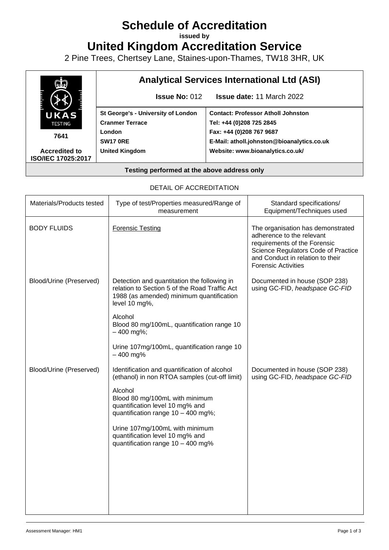# **Schedule of Accreditation**

**issued by**

**United Kingdom Accreditation Service**

2 Pine Trees, Chertsey Lane, Staines-upon-Thames, TW18 3HR, UK



#### **Testing performed at the above address only**

#### DETAIL OF ACCREDITATION

| Materials/Products tested | Type of test/Properties measured/Range of<br>measurement                                                                                                                                                                                                                                                                      | Standard specifications/<br>Equipment/Techniques used                                                                                                                                                   |
|---------------------------|-------------------------------------------------------------------------------------------------------------------------------------------------------------------------------------------------------------------------------------------------------------------------------------------------------------------------------|---------------------------------------------------------------------------------------------------------------------------------------------------------------------------------------------------------|
| <b>BODY FLUIDS</b>        | <b>Forensic Testing</b>                                                                                                                                                                                                                                                                                                       | The organisation has demonstrated<br>adherence to the relevant<br>requirements of the Forensic<br>Science Regulators Code of Practice<br>and Conduct in relation to their<br><b>Forensic Activities</b> |
| Blood/Urine (Preserved)   | Detection and quantitation the following in<br>relation to Section 5 of the Road Traffic Act<br>1988 (as amended) minimum quantification<br>level 10 mg%,                                                                                                                                                                     | Documented in house (SOP 238)<br>using GC-FID, headspace GC-FID                                                                                                                                         |
|                           | Alcohol<br>Blood 80 mg/100mL, quantification range 10<br>$-400$ mg%;                                                                                                                                                                                                                                                          |                                                                                                                                                                                                         |
|                           | Urine 107mg/100mL, quantification range 10<br>$-400$ mg%                                                                                                                                                                                                                                                                      |                                                                                                                                                                                                         |
| Blood/Urine (Preserved)   | Identification and quantification of alcohol<br>(ethanol) in non RTOA samples (cut-off limit)<br>Alcohol<br>Blood 80 mg/100mL with minimum<br>quantification level 10 mg% and<br>quantification range 10 - 400 mg%;<br>Urine 107mg/100mL with minimum<br>quantification level 10 mg% and<br>quantification range 10 - 400 mg% | Documented in house (SOP 238)<br>using GC-FID, headspace GC-FID                                                                                                                                         |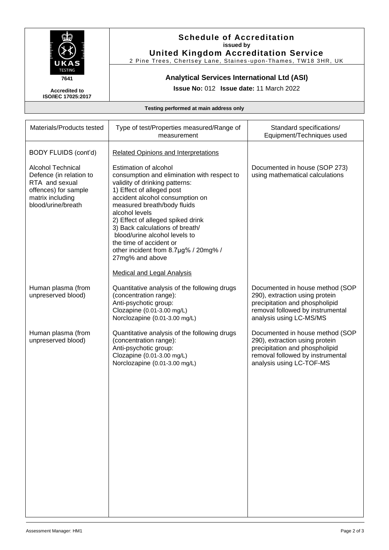

### **Schedule of Accreditation issued by United Kingdom Accreditation Service**

2 Pine Trees, Chertsey Lane, Staines -upon-Thames, TW18 3HR, UK

## **Analytical Services International Ltd (ASI)**

**Issue No:** 012 **Issue date:** 11 March 2022

**Accredited to ISO/IEC 17025:2017**

**Testing performed at main address only**

| Materials/Products tested                                                                                                               | Type of test/Properties measured/Range of<br>measurement                                                                                                                                                                                                                                                                                                                                                                                                    | Standard specifications/<br>Equipment/Techniques used                                                                                                               |
|-----------------------------------------------------------------------------------------------------------------------------------------|-------------------------------------------------------------------------------------------------------------------------------------------------------------------------------------------------------------------------------------------------------------------------------------------------------------------------------------------------------------------------------------------------------------------------------------------------------------|---------------------------------------------------------------------------------------------------------------------------------------------------------------------|
| BODY FLUIDS (cont'd)                                                                                                                    | <b>Related Opinions and Interpretations</b>                                                                                                                                                                                                                                                                                                                                                                                                                 |                                                                                                                                                                     |
| <b>Alcohol Technical</b><br>Defence (in relation to<br>RTA and sexual<br>offences) for sample<br>matrix including<br>blood/urine/breath | Estimation of alcohol<br>consumption and elimination with respect to<br>validity of drinking patterns:<br>1) Effect of alleged post<br>accident alcohol consumption on<br>measured breath/body fluids<br>alcohol levels<br>2) Effect of alleged spiked drink<br>3) Back calculations of breath/<br>blood/urine alcohol levels to<br>the time of accident or<br>other incident from 8.7µg% / 20mg% /<br>27mg% and above<br><b>Medical and Legal Analysis</b> | Documented in house (SOP 273)<br>using mathematical calculations                                                                                                    |
| Human plasma (from<br>unpreserved blood)                                                                                                | Quantitative analysis of the following drugs<br>(concentration range):<br>Anti-psychotic group:<br>Clozapine (0.01-3.00 mg/L)<br>Norclozapine (0.01-3.00 mg/L)                                                                                                                                                                                                                                                                                              | Documented in house method (SOP<br>290), extraction using protein<br>precipitation and phospholipid<br>removal followed by instrumental<br>analysis using LC-MS/MS  |
| Human plasma (from<br>unpreserved blood)                                                                                                | Quantitative analysis of the following drugs<br>(concentration range):<br>Anti-psychotic group:<br>Clozapine (0.01-3.00 mg/L)<br>Norclozapine (0.01-3.00 mg/L)                                                                                                                                                                                                                                                                                              | Documented in house method (SOP<br>290), extraction using protein<br>precipitation and phospholipid<br>removal followed by instrumental<br>analysis using LC-TOF-MS |